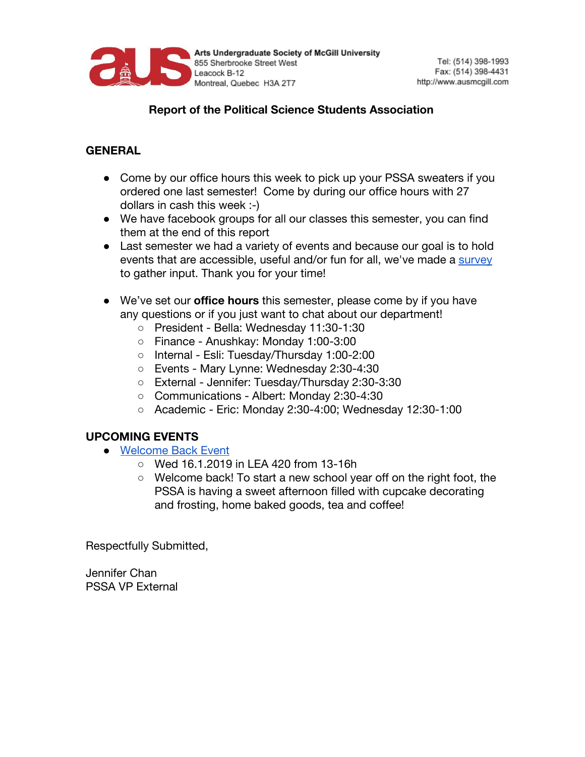

## **Report of the Political Science Students Association**

## **GENERAL**

- Come by our office hours this week to pick up your PSSA sweaters if you ordered one last semester! Come by during our office hours with 27 dollars in cash this week :-)
- We have facebook groups for all our classes this semester, you can find them at the end of this report
- Last semester we had a variety of events and because our goal is to hold events that are accessible, useful and/or fun for all, we've made a [survey](https://docs.google.com/forms/d/e/1FAIpQLSfst0a6oosiG4660Za-BSWwQH0LLYhKmgflc3lNiPDdd5Cwmw/viewform) to gather input. Thank you for your time!
- We've set our **office hours** this semester, please come by if you have any questions or if you just want to chat about our department!
	- President Bella: Wednesday 11:30-1:30
	- Finance Anushkay: Monday 1:00-3:00
	- Internal Esli: Tuesday/Thursday 1:00-2:00
	- Events Mary Lynne: Wednesday 2:30-4:30
	- External Jennifer: Tuesday/Thursday 2:30-3:30
	- Communications Albert: Monday 2:30-4:30
	- Academic Eric: Monday 2:30-4:00; Wednesday 12:30-1:00

## **UPCOMING EVENTS**

- [Welcome Back Event](https://www.facebook.com/events/1102874813170373/)
	- Wed 16.1.2019 in LEA 420 from 13-16h
	- Welcome back! To start a new school year off on the right foot, the PSSA is having a sweet afternoon filled with cupcake decorating and frosting, home baked goods, tea and coffee!

Respectfully Submitted,

Jennifer Chan PSSA VP External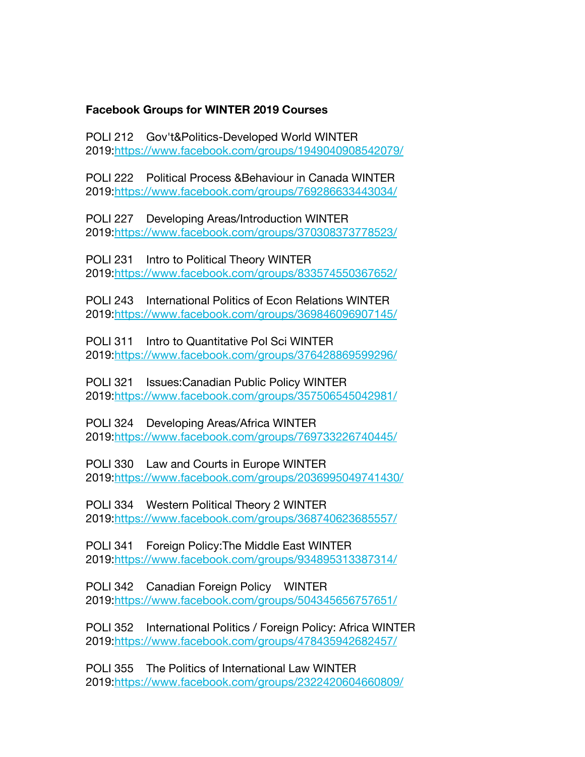## **Facebook Groups for WINTER 2019 Courses**

POLI 212 Gov't&Politics-Developed World WINTER 2019:[https://www.facebook.com/groups/1949040908542079/](https://mcgillpssa.us15.list-manage.com/track/click?u=c9da88ef6f492e3a590fb7c6e&id=8125000b9b&e=337b7acb5e)

POLI 222 Political Process &Behaviour in Canada WINTER 2019:[https://www.facebook.com/groups/769286633443034/](https://mcgillpssa.us15.list-manage.com/track/click?u=c9da88ef6f492e3a590fb7c6e&id=9df2c6c125&e=337b7acb5e)

POLI 227 Developing Areas/Introduction WINTER 2019:[https://www.facebook.com/groups/370308373778523/](https://mcgillpssa.us15.list-manage.com/track/click?u=c9da88ef6f492e3a590fb7c6e&id=4a79586bd7&e=337b7acb5e)

POLI 231 Intro to Political Theory WINTER 2019:[https://www.facebook.com/groups/833574550367652/](https://mcgillpssa.us15.list-manage.com/track/click?u=c9da88ef6f492e3a590fb7c6e&id=388401bcd8&e=337b7acb5e)

POLI 243 International Politics of Econ Relations WINTER 2019:[https://www.facebook.com/groups/369846096907145/](https://mcgillpssa.us15.list-manage.com/track/click?u=c9da88ef6f492e3a590fb7c6e&id=6775976785&e=337b7acb5e)

POLI 311 Intro to Quantitative Pol Sci WINTER 2019:[https://www.facebook.com/groups/376428869599296/](https://mcgillpssa.us15.list-manage.com/track/click?u=c9da88ef6f492e3a590fb7c6e&id=3c31aafdbf&e=337b7acb5e)

POLI 321 Issues:Canadian Public Policy WINTER 2019:[https://www.facebook.com/groups/357506545042981/](https://mcgillpssa.us15.list-manage.com/track/click?u=c9da88ef6f492e3a590fb7c6e&id=25d4e31271&e=337b7acb5e)

POLI 324 Developing Areas/Africa WINTER 2019:[https://www.facebook.com/groups/769733226740445/](https://mcgillpssa.us15.list-manage.com/track/click?u=c9da88ef6f492e3a590fb7c6e&id=86250b21c3&e=337b7acb5e)

POLI 330 Law and Courts in Europe WINTER 2019:[https://www.facebook.com/groups/2036995049741430/](https://mcgillpssa.us15.list-manage.com/track/click?u=c9da88ef6f492e3a590fb7c6e&id=7dcfa1e47e&e=337b7acb5e)

POLI 334 Western Political Theory 2 WINTER 2019:[https://www.facebook.com/groups/368740623685557/](https://mcgillpssa.us15.list-manage.com/track/click?u=c9da88ef6f492e3a590fb7c6e&id=a11576cc6f&e=337b7acb5e)

POLI 341 Foreign Policy:The Middle East WINTER 2019:[https://www.facebook.com/groups/934895313387314/](https://mcgillpssa.us15.list-manage.com/track/click?u=c9da88ef6f492e3a590fb7c6e&id=c88198c44e&e=337b7acb5e)

POLI 342 Canadian Foreign Policy WINTER 2019:[https://www.facebook.com/groups/504345656757651/](https://mcgillpssa.us15.list-manage.com/track/click?u=c9da88ef6f492e3a590fb7c6e&id=a3006a5f9c&e=337b7acb5e)

POLI 352 International Politics / Foreign Policy: Africa WINTER 2019:[https://www.facebook.com/groups/478435942682457/](https://mcgillpssa.us15.list-manage.com/track/click?u=c9da88ef6f492e3a590fb7c6e&id=a7b5ab39d5&e=337b7acb5e)

POLI 355 The Politics of International Law WINTER 2019:[https://www.facebook.com/groups/2322420604660809/](https://mcgillpssa.us15.list-manage.com/track/click?u=c9da88ef6f492e3a590fb7c6e&id=010e9a0578&e=337b7acb5e)